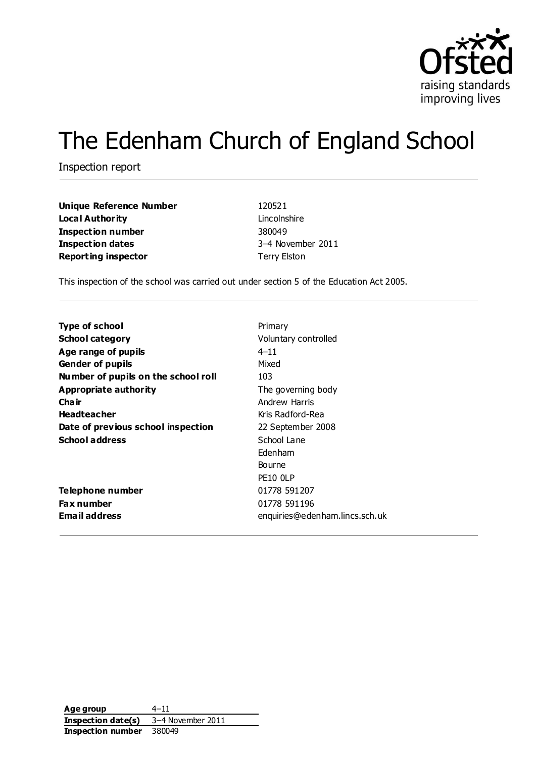

# The Edenham Church of England School

Inspection report

**Unique Reference Number** 120521 **Local Authority** Lincolnshire **Inspection number** 380049 **Inspection dates** 3–4 November 2011 **Reporting inspector** Terry Elston

This inspection of the school was carried out under section 5 of the Education Act 2005.

| <b>Type of school</b>               | Primary                        |
|-------------------------------------|--------------------------------|
| <b>School category</b>              | Voluntary controlled           |
| Age range of pupils                 | $4 - 11$                       |
| <b>Gender of pupils</b>             | Mixed                          |
| Number of pupils on the school roll | 103                            |
| Appropriate authority               | The governing body             |
| Cha ir                              | Andrew Harris                  |
| <b>Headteacher</b>                  | Kris Radford-Rea               |
| Date of previous school inspection  | 22 September 2008              |
| <b>School address</b>               | School Lane                    |
|                                     | Edenham                        |
|                                     | Bourne                         |
|                                     | PE10 OLP                       |
| Telephone number                    | 01778 591207                   |
| Fax number                          | 01778 591196                   |
| Email address                       | enquiries@edenham.lincs.sch.uk |
|                                     |                                |

**Age group** 4–11 **Inspection date(s)** 3–4 November 2011 **Inspection number** 380049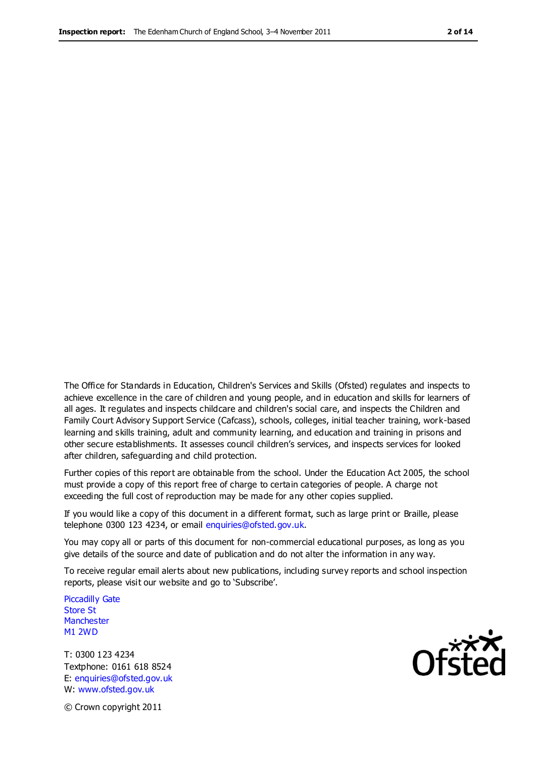The Office for Standards in Education, Children's Services and Skills (Ofsted) regulates and inspects to achieve excellence in the care of children and young people, and in education and skills for learners of all ages. It regulates and inspects childcare and children's social care, and inspects the Children and Family Court Advisory Support Service (Cafcass), schools, colleges, initial teacher training, work-based learning and skills training, adult and community learning, and education and training in prisons and other secure establishments. It assesses council children's services, and inspects services for looked after children, safeguarding and child protection.

Further copies of this report are obtainable from the school. Under the Education Act 2005, the school must provide a copy of this report free of charge to certain categories of people. A charge not exceeding the full cost of reproduction may be made for any other copies supplied.

If you would like a copy of this document in a different format, such as large print or Braille, please telephone 0300 123 4234, or email enquiries@ofsted.gov.uk.

You may copy all or parts of this document for non-commercial educational purposes, as long as you give details of the source and date of publication and do not alter the information in any way.

To receive regular email alerts about new publications, including survey reports and school inspection reports, please visit our website and go to 'Subscribe'.

Piccadilly Gate Store St **Manchester** M1 2WD

T: 0300 123 4234 Textphone: 0161 618 8524 E: enquiries@ofsted.gov.uk W: www.ofsted.gov.uk

Ofsted

© Crown copyright 2011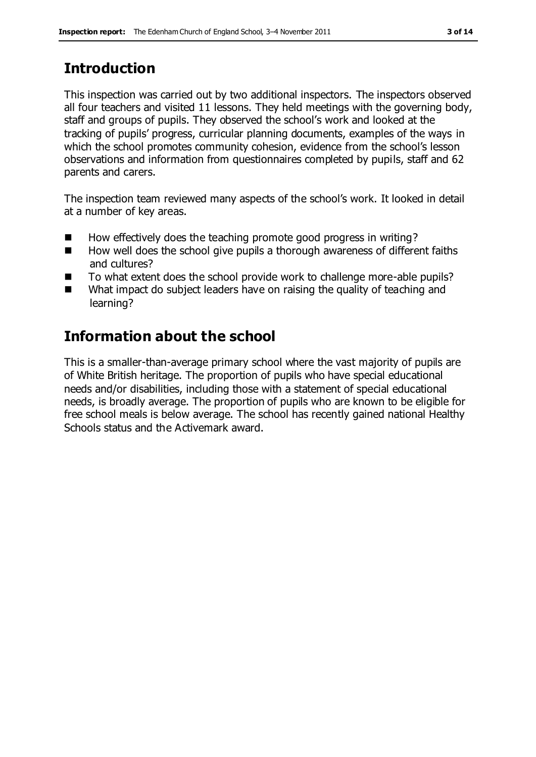# **Introduction**

This inspection was carried out by two additional inspectors. The inspectors observed all four teachers and visited 11 lessons. They held meetings with the governing body, staff and groups of pupils. They observed the school's work and looked at the tracking of pupils' progress, curricular planning documents, examples of the ways in which the school promotes community cohesion, evidence from the school's lesson observations and information from questionnaires completed by pupils, staff and 62 parents and carers.

The inspection team reviewed many aspects of the school's work. It looked in detail at a number of key areas.

- How effectively does the teaching promote good progress in writing?
- $\blacksquare$  How well does the school give pupils a thorough awareness of different faiths and cultures?
- To what extent does the school provide work to challenge more-able pupils?
- What impact do subject leaders have on raising the quality of teaching and learning?

# **Information about the school**

This is a smaller-than-average primary school where the vast majority of pupils are of White British heritage. The proportion of pupils who have special educational needs and/or disabilities, including those with a statement of special educational needs, is broadly average. The proportion of pupils who are known to be eligible for free school meals is below average. The school has recently gained national Healthy Schools status and the Activemark award.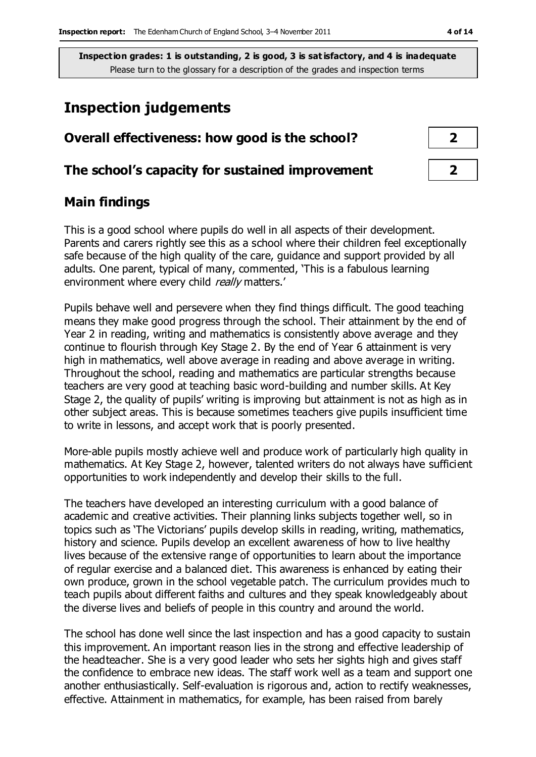## **Inspection judgements**

| Overall effectiveness: how good is the school?  |  |
|-------------------------------------------------|--|
| The school's capacity for sustained improvement |  |

## **Main findings**

This is a good school where pupils do well in all aspects of their development. Parents and carers rightly see this as a school where their children feel exceptionally safe because of the high quality of the care, guidance and support provided by all adults. One parent, typical of many, commented, 'This is a fabulous learning environment where every child really matters.'

Pupils behave well and persevere when they find things difficult. The good teaching means they make good progress through the school. Their attainment by the end of Year 2 in reading, writing and mathematics is consistently above average and they continue to flourish through Key Stage 2. By the end of Year 6 attainment is very high in mathematics, well above average in reading and above average in writing. Throughout the school, reading and mathematics are particular strengths because teachers are very good at teaching basic word-building and number skills. At Key Stage 2, the quality of pupils' writing is improving but attainment is not as high as in other subject areas. This is because sometimes teachers give pupils insufficient time to write in lessons, and accept work that is poorly presented.

More-able pupils mostly achieve well and produce work of particularly high quality in mathematics. At Key Stage 2, however, talented writers do not always have sufficient opportunities to work independently and develop their skills to the full.

The teachers have developed an interesting curriculum with a good balance of academic and creative activities. Their planning links subjects together well, so in topics such as 'The Victorians' pupils develop skills in reading, writing, mathematics, history and science. Pupils develop an excellent awareness of how to live healthy lives because of the extensive range of opportunities to learn about the importance of regular exercise and a balanced diet. This awareness is enhanced by eating their own produce, grown in the school vegetable patch. The curriculum provides much to teach pupils about different faiths and cultures and they speak knowledgeably about the diverse lives and beliefs of people in this country and around the world.

The school has done well since the last inspection and has a good capacity to sustain this improvement. An important reason lies in the strong and effective leadership of the headteacher. She is a very good leader who sets her sights high and gives staff the confidence to embrace new ideas. The staff work well as a team and support one another enthusiastically. Self-evaluation is rigorous and, action to rectify weaknesses, effective. Attainment in mathematics, for example, has been raised from barely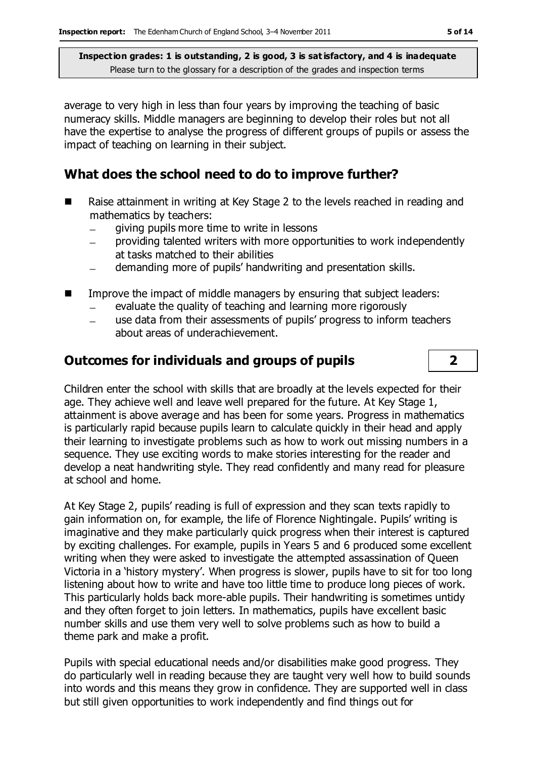average to very high in less than four years by improving the teaching of basic numeracy skills. Middle managers are beginning to develop their roles but not all have the expertise to analyse the progress of different groups of pupils or assess the impact of teaching on learning in their subject.

## **What does the school need to do to improve further?**

- Raise attainment in writing at Key Stage 2 to the levels reached in reading and mathematics by teachers:
	- giving pupils more time to write in lessons  $\equiv$
	- providing talented writers with more opportunities to work independently  $\frac{1}{1}$ at tasks matched to their abilities
	- demanding more of pupils' handwriting and presentation skills.  $\equiv$
- Improve the impact of middle managers by ensuring that subject leaders:
	- evaluate the quality of teaching and learning more rigorously
	- use data from their assessments of pupils' progress to inform teachers  $\equiv$ about areas of underachievement.

## **Outcomes for individuals and groups of pupils 2**

Children enter the school with skills that are broadly at the levels expected for their age. They achieve well and leave well prepared for the future. At Key Stage 1, attainment is above average and has been for some years. Progress in mathematics is particularly rapid because pupils learn to calculate quickly in their head and apply their learning to investigate problems such as how to work out missing numbers in a sequence. They use exciting words to make stories interesting for the reader and develop a neat handwriting style. They read confidently and many read for pleasure at school and home.

At Key Stage 2, pupils' reading is full of expression and they scan texts rapidly to gain information on, for example, the life of Florence Nightingale. Pupils' writing is imaginative and they make particularly quick progress when their interest is captured by exciting challenges. For example, pupils in Years 5 and 6 produced some excellent writing when they were asked to investigate the attempted assassination of Queen Victoria in a 'history mystery'. When progress is slower, pupils have to sit for too long listening about how to write and have too little time to produce long pieces of work. This particularly holds back more-able pupils. Their handwriting is sometimes untidy and they often forget to join letters. In mathematics, pupils have excellent basic number skills and use them very well to solve problems such as how to build a theme park and make a profit.

Pupils with special educational needs and/or disabilities make good progress. They do particularly well in reading because they are taught very well how to build sounds into words and this means they grow in confidence. They are supported well in class but still given opportunities to work independently and find things out for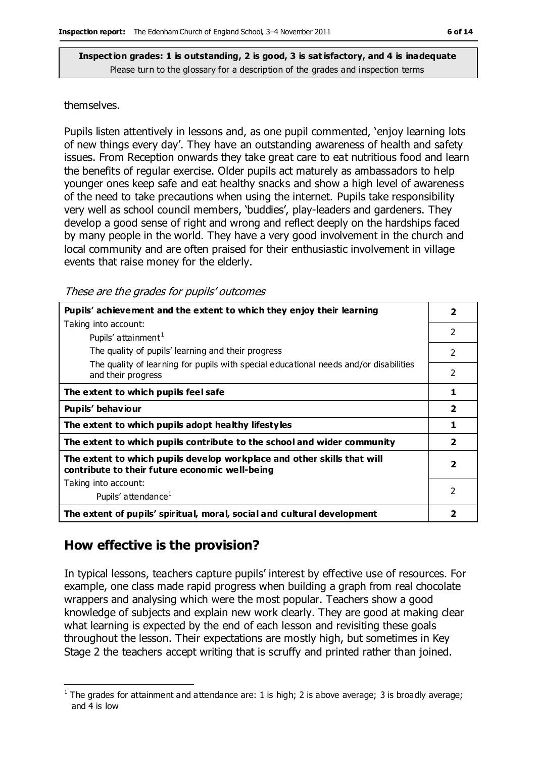#### themselves.

Pupils listen attentively in lessons and, as one pupil commented, 'enjoy learning lots of new things every day'. They have an outstanding awareness of health and safety issues. From Reception onwards they take great care to eat nutritious food and learn the benefits of regular exercise. Older pupils act maturely as ambassadors to help younger ones keep safe and eat healthy snacks and show a high level of awareness of the need to take precautions when using the internet. Pupils take responsibility very well as school council members, 'buddies', play-leaders and gardeners. They develop a good sense of right and wrong and reflect deeply on the hardships faced by many people in the world. They have a very good involvement in the church and local community and are often praised for their enthusiastic involvement in village events that raise money for the elderly.

These are the grades for pupils' outcomes

| Pupils' achievement and the extent to which they enjoy their learning                                                     | $\overline{\mathbf{2}}$  |
|---------------------------------------------------------------------------------------------------------------------------|--------------------------|
| Taking into account:                                                                                                      | $\overline{2}$           |
| Pupils' attainment <sup>1</sup>                                                                                           |                          |
| The quality of pupils' learning and their progress                                                                        | $\mathfrak{p}$           |
| The quality of learning for pupils with special educational needs and/or disabilities<br>and their progress               | 2                        |
| The extent to which pupils feel safe                                                                                      | 1                        |
|                                                                                                                           |                          |
| Pupils' behaviour                                                                                                         | $\overline{2}$           |
| The extent to which pupils adopt healthy lifestyles                                                                       | 1                        |
| The extent to which pupils contribute to the school and wider community                                                   | $\overline{\mathbf{2}}$  |
| The extent to which pupils develop workplace and other skills that will<br>contribute to their future economic well-being | $\overline{\phantom{a}}$ |
| Taking into account:                                                                                                      |                          |
| Pupils' attendance <sup>1</sup>                                                                                           | 2                        |
| The extent of pupils' spiritual, moral, social and cultural development                                                   | 2                        |

### **How effective is the provision?**

In typical lessons, teachers capture pupils' interest by effective use of resources. For example, one class made rapid progress when building a graph from real chocolate wrappers and analysing which were the most popular. Teachers show a good knowledge of subjects and explain new work clearly. They are good at making clear what learning is expected by the end of each lesson and revisiting these goals throughout the lesson. Their expectations are mostly high, but sometimes in Key Stage 2 the teachers accept writing that is scruffy and printed rather than joined.

 $\overline{a}$ <sup>1</sup> The grades for attainment and attendance are: 1 is high; 2 is above average; 3 is broadly average; and 4 is low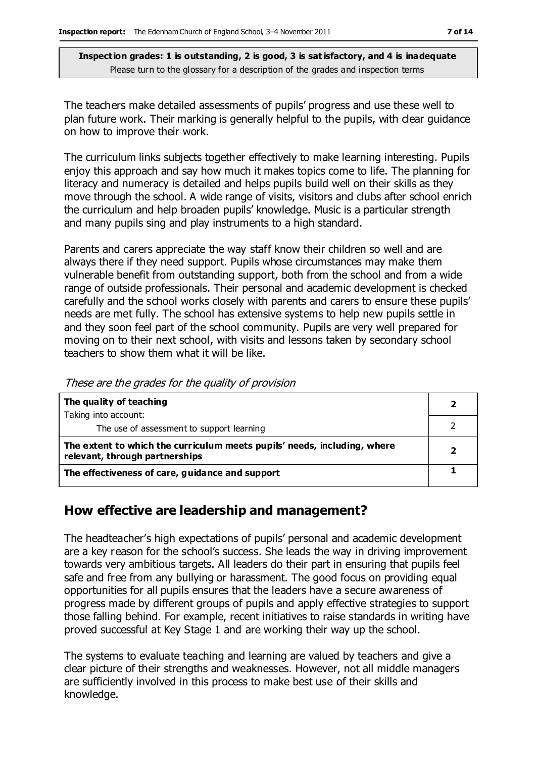The teachers make detailed assessments of pupils' progress and use these well to plan future work. Their marking is generally helpful to the pupils, with clear guidance on how to improve their work.

The curriculum links subjects together effectively to make learning interesting. Pupils enjoy this approach and say how much it makes topics come to life. The planning for literacy and numeracy is detailed and helps pupils build well on their skills as they move through the school. A wide range of visits, visitors and clubs after school enrich the curriculum and help broaden pupils' knowledge. Music is a particular strength and many pupils sing and play instruments to a high standard.

Parents and carers appreciate the way staff know their children so well and are always there if they need support. Pupils whose circumstances may make them vulnerable benefit from outstanding support, both from the school and from a wide range of outside professionals. Their personal and academic development is checked carefully and the school works closely with parents and carers to ensure these pupils' needs are met fully. The school has extensive systems to help new pupils settle in and they soon feel part of the school community. Pupils are very well prepared for moving on to their next school, with visits and lessons taken by secondary school teachers to show them what it will be like.

These are the grades for the quality of provision

| The quality of teaching                                                                                    |  |
|------------------------------------------------------------------------------------------------------------|--|
| Taking into account:                                                                                       |  |
| The use of assessment to support learning                                                                  |  |
| The extent to which the curriculum meets pupils' needs, including, where<br>relevant, through partnerships |  |
|                                                                                                            |  |

### **How effective are leadership and management?**

The headteacher's high expectations of pupils' personal and academic development are a key reason for the school's success. She leads the way in driving improvement towards very ambitious targets. All leaders do their part in ensuring that pupils feel safe and free from any bullying or harassment. The good focus on providing equal opportunities for all pupils ensures that the leaders have a secure awareness of progress made by different groups of pupils and apply effective strategies to support those falling behind. For example, recent initiatives to raise standards in writing have proved successful at Key Stage 1 and are working their way up the school.

The systems to evaluate teaching and learning are valued by teachers and give a clear picture of their strengths and weaknesses. However, not all middle managers are sufficiently involved in this process to make best use of their skills and knowledge.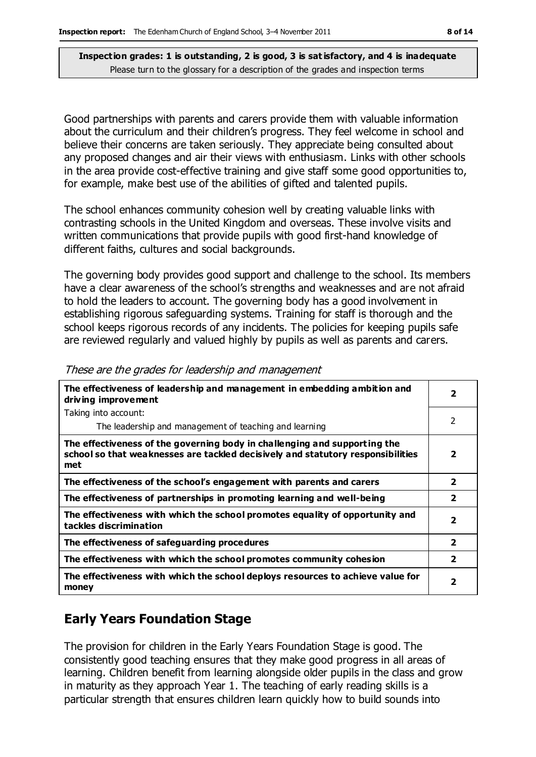Good partnerships with parents and carers provide them with valuable information about the curriculum and their children's progress. They feel welcome in school and believe their concerns are taken seriously. They appreciate being consulted about any proposed changes and air their views with enthusiasm. Links with other schools in the area provide cost-effective training and give staff some good opportunities to, for example, make best use of the abilities of gifted and talented pupils.

The school enhances community cohesion well by creating valuable links with contrasting schools in the United Kingdom and overseas. These involve visits and written communications that provide pupils with good first-hand knowledge of different faiths, cultures and social backgrounds.

The governing body provides good support and challenge to the school. Its members have a clear awareness of the school's strengths and weaknesses and are not afraid to hold the leaders to account. The governing body has a good involvement in establishing rigorous safeguarding systems. Training for staff is thorough and the school keeps rigorous records of any incidents. The policies for keeping pupils safe are reviewed regularly and valued highly by pupils as well as parents and carers.

| The effectiveness of leadership and management in embedding ambition and<br>driving improvement                                                                     | $\overline{\mathbf{2}}$ |
|---------------------------------------------------------------------------------------------------------------------------------------------------------------------|-------------------------|
| Taking into account:                                                                                                                                                |                         |
| The leadership and management of teaching and learning                                                                                                              | 2                       |
| The effectiveness of the governing body in challenging and supporting the<br>school so that weaknesses are tackled decisively and statutory responsibilities<br>met | $\overline{\mathbf{2}}$ |
| The effectiveness of the school's engagement with parents and carers                                                                                                | $\mathbf{2}$            |
| The effectiveness of partnerships in promoting learning and well-being                                                                                              | $\overline{2}$          |
| The effectiveness with which the school promotes equality of opportunity and<br>tackles discrimination                                                              | $\mathbf{2}$            |
| The effectiveness of safeguarding procedures                                                                                                                        | $\overline{2}$          |
| The effectiveness with which the school promotes community cohesion                                                                                                 | 2                       |
| The effectiveness with which the school deploys resources to achieve value for<br>money                                                                             | 2                       |

These are the grades for leadership and management

## **Early Years Foundation Stage**

The provision for children in the Early Years Foundation Stage is good. The consistently good teaching ensures that they make good progress in all areas of learning. Children benefit from learning alongside older pupils in the class and grow in maturity as they approach Year 1. The teaching of early reading skills is a particular strength that ensures children learn quickly how to build sounds into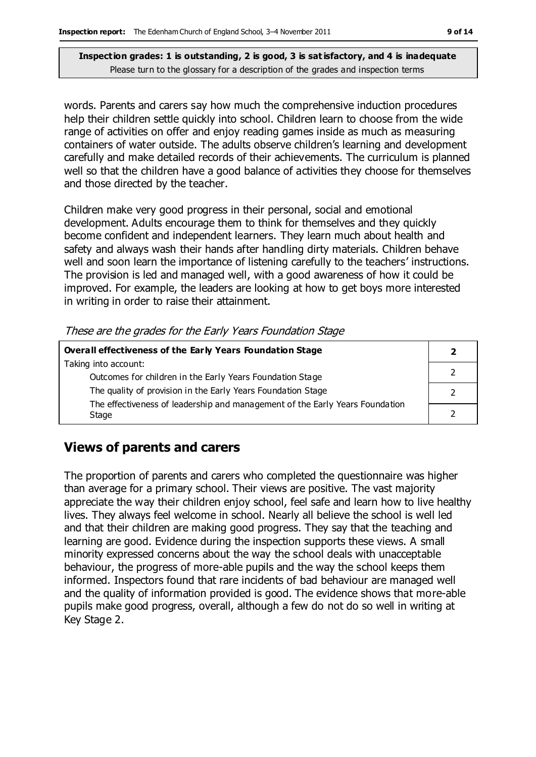words. Parents and carers say how much the comprehensive induction procedures help their children settle quickly into school. Children learn to choose from the wide range of activities on offer and enjoy reading games inside as much as measuring containers of water outside. The adults observe children's learning and development carefully and make detailed records of their achievements. The curriculum is planned well so that the children have a good balance of activities they choose for themselves and those directed by the teacher.

Children make very good progress in their personal, social and emotional development. Adults encourage them to think for themselves and they quickly become confident and independent learners. They learn much about health and safety and always wash their hands after handling dirty materials. Children behave well and soon learn the importance of listening carefully to the teachers' instructions. The provision is led and managed well, with a good awareness of how it could be improved. For example, the leaders are looking at how to get boys more interested in writing in order to raise their attainment.

These are the grades for the Early Years Foundation Stage

| <b>Overall effectiveness of the Early Years Foundation Stage</b>             |  |
|------------------------------------------------------------------------------|--|
| Taking into account:                                                         |  |
| Outcomes for children in the Early Years Foundation Stage                    |  |
| The quality of provision in the Early Years Foundation Stage                 |  |
| The effectiveness of leadership and management of the Early Years Foundation |  |
| Stage                                                                        |  |

## **Views of parents and carers**

The proportion of parents and carers who completed the questionnaire was higher than average for a primary school. Their views are positive. The vast majority appreciate the way their children enjoy school, feel safe and learn how to live healthy lives. They always feel welcome in school. Nearly all believe the school is well led and that their children are making good progress. They say that the teaching and learning are good. Evidence during the inspection supports these views. A small minority expressed concerns about the way the school deals with unacceptable behaviour, the progress of more-able pupils and the way the school keeps them informed. Inspectors found that rare incidents of bad behaviour are managed well and the quality of information provided is good. The evidence shows that more-able pupils make good progress, overall, although a few do not do so well in writing at Key Stage 2.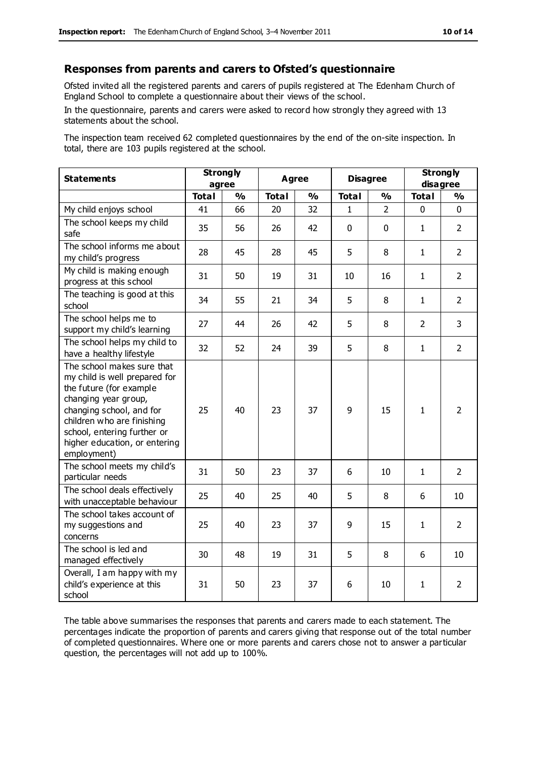#### **Responses from parents and carers to Ofsted's questionnaire**

Ofsted invited all the registered parents and carers of pupils registered at The Edenham Church of England School to complete a questionnaire about their views of the school.

In the questionnaire, parents and carers were asked to record how strongly they agreed with 13 statements about the school.

The inspection team received 62 completed questionnaires by the end of the on-site inspection. In total, there are 103 pupils registered at the school.

| <b>Statements</b>                                                                                                                                                                                                                                       | <b>Strongly</b><br>agree |               | Agree        |               | <b>Disagree</b> |                | <b>Strongly</b><br>disagree |                |
|---------------------------------------------------------------------------------------------------------------------------------------------------------------------------------------------------------------------------------------------------------|--------------------------|---------------|--------------|---------------|-----------------|----------------|-----------------------------|----------------|
|                                                                                                                                                                                                                                                         | <b>Total</b>             | $\frac{1}{2}$ | <b>Total</b> | $\frac{1}{2}$ | <b>Total</b>    | %              | <b>Total</b>                | %              |
| My child enjoys school                                                                                                                                                                                                                                  | 41                       | 66            | 20           | 32            | $\mathbf{1}$    | $\overline{2}$ | $\mathbf 0$                 | $\mathbf{0}$   |
| The school keeps my child<br>safe                                                                                                                                                                                                                       | 35                       | 56            | 26           | 42            | $\mathbf 0$     | $\mathbf 0$    | $\mathbf{1}$                | $\overline{2}$ |
| The school informs me about<br>my child's progress                                                                                                                                                                                                      | 28                       | 45            | 28           | 45            | 5               | 8              | $\mathbf{1}$                | $\overline{2}$ |
| My child is making enough<br>progress at this school                                                                                                                                                                                                    | 31                       | 50            | 19           | 31            | 10              | 16             | $\mathbf{1}$                | $\overline{2}$ |
| The teaching is good at this<br>school                                                                                                                                                                                                                  | 34                       | 55            | 21           | 34            | 5               | 8              | $\mathbf{1}$                | $\overline{2}$ |
| The school helps me to<br>support my child's learning                                                                                                                                                                                                   | 27                       | 44            | 26           | 42            | 5               | 8              | $\overline{2}$              | $\overline{3}$ |
| The school helps my child to<br>have a healthy lifestyle                                                                                                                                                                                                | 32                       | 52            | 24           | 39            | 5               | 8              | $\mathbf{1}$                | $\overline{2}$ |
| The school makes sure that<br>my child is well prepared for<br>the future (for example<br>changing year group,<br>changing school, and for<br>children who are finishing<br>school, entering further or<br>higher education, or entering<br>employment) | 25                       | 40            | 23           | 37            | 9               | 15             | $\mathbf{1}$                | $\overline{2}$ |
| The school meets my child's<br>particular needs                                                                                                                                                                                                         | 31                       | 50            | 23           | 37            | 6               | 10             | $\mathbf{1}$                | $\overline{2}$ |
| The school deals effectively<br>with unacceptable behaviour                                                                                                                                                                                             | 25                       | 40            | 25           | 40            | 5               | 8              | 6                           | 10             |
| The school takes account of<br>my suggestions and<br>concerns                                                                                                                                                                                           | 25                       | 40            | 23           | 37            | 9               | 15             | $\mathbf{1}$                | $\overline{2}$ |
| The school is led and<br>managed effectively                                                                                                                                                                                                            | 30                       | 48            | 19           | 31            | 5               | 8              | 6                           | 10             |
| Overall, I am happy with my<br>child's experience at this<br>school                                                                                                                                                                                     | 31                       | 50            | 23           | 37            | 6               | 10             | 1                           | $\overline{2}$ |

The table above summarises the responses that parents and carers made to each statement. The percentages indicate the proportion of parents and carers giving that response out of the total number of completed questionnaires. Where one or more parents and carers chose not to answer a particular question, the percentages will not add up to 100%.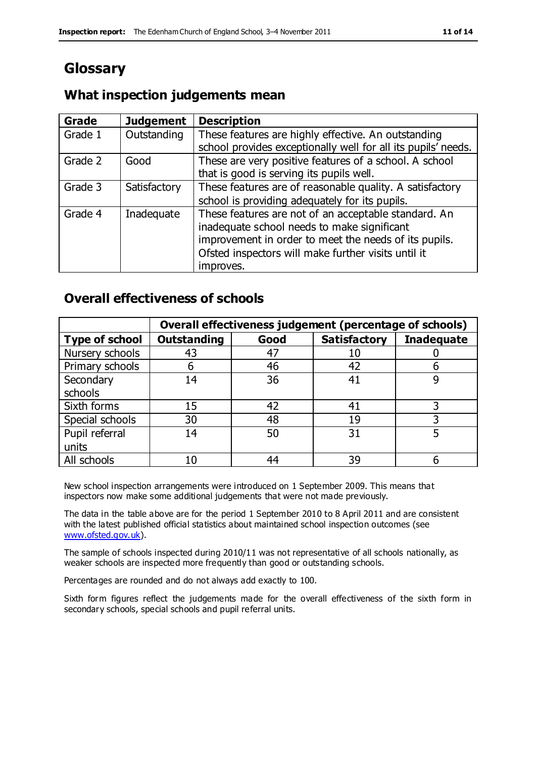# **Glossary**

## **What inspection judgements mean**

| <b>Grade</b> | <b>Judgement</b> | <b>Description</b>                                            |
|--------------|------------------|---------------------------------------------------------------|
| Grade 1      | Outstanding      | These features are highly effective. An outstanding           |
|              |                  | school provides exceptionally well for all its pupils' needs. |
| Grade 2      | Good             | These are very positive features of a school. A school        |
|              |                  | that is good is serving its pupils well.                      |
| Grade 3      | Satisfactory     | These features are of reasonable quality. A satisfactory      |
|              |                  | school is providing adequately for its pupils.                |
| Grade 4      | Inadequate       | These features are not of an acceptable standard. An          |
|              |                  | inadequate school needs to make significant                   |
|              |                  | improvement in order to meet the needs of its pupils.         |
|              |                  | Ofsted inspectors will make further visits until it           |
|              |                  | improves.                                                     |

### **Overall effectiveness of schools**

|                       |                    |      | Overall effectiveness judgement (percentage of schools) |                   |
|-----------------------|--------------------|------|---------------------------------------------------------|-------------------|
| <b>Type of school</b> | <b>Outstanding</b> | Good | <b>Satisfactory</b>                                     | <b>Inadequate</b> |
| Nursery schools       | 43                 | 47   | 10                                                      |                   |
| Primary schools       | 6                  | 46   | 42                                                      |                   |
| Secondary             | 14                 | 36   | 41                                                      |                   |
| schools               |                    |      |                                                         |                   |
| Sixth forms           | 15                 | 42   | 41                                                      | 3                 |
| Special schools       | 30                 | 48   | 19                                                      |                   |
| Pupil referral        | 14                 | 50   | 31                                                      |                   |
| units                 |                    |      |                                                         |                   |
| All schools           | 10                 | 44   | 39                                                      |                   |

New school inspection arrangements were introduced on 1 September 2009. This means that inspectors now make some additional judgements that were not made previously.

The data in the table above are for the period 1 September 2010 to 8 April 2011 and are consistent with the latest published official statistics about maintained school inspection outcomes (see [www.ofsted.gov.uk\)](http://www.ofsted.gov.uk/).

The sample of schools inspected during 2010/11 was not representative of all schools nationally, as weaker schools are inspected more frequently than good or outstanding schools.

Percentages are rounded and do not always add exactly to 100.

Sixth form figures reflect the judgements made for the overall effectiveness of the sixth form in secondary schools, special schools and pupil referral units.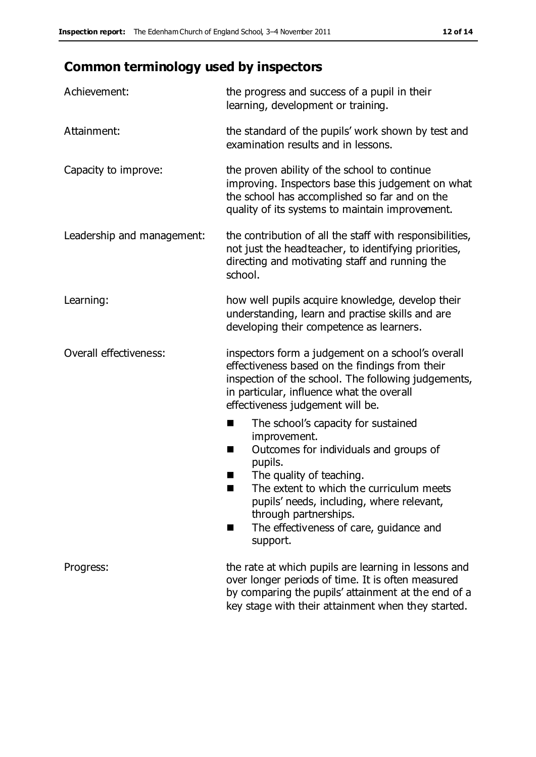# **Common terminology used by inspectors**

| Achievement:               | the progress and success of a pupil in their<br>learning, development or training.                                                                                                                                                                                                                                           |
|----------------------------|------------------------------------------------------------------------------------------------------------------------------------------------------------------------------------------------------------------------------------------------------------------------------------------------------------------------------|
| Attainment:                | the standard of the pupils' work shown by test and<br>examination results and in lessons.                                                                                                                                                                                                                                    |
| Capacity to improve:       | the proven ability of the school to continue<br>improving. Inspectors base this judgement on what<br>the school has accomplished so far and on the<br>quality of its systems to maintain improvement.                                                                                                                        |
| Leadership and management: | the contribution of all the staff with responsibilities,<br>not just the headteacher, to identifying priorities,<br>directing and motivating staff and running the<br>school.                                                                                                                                                |
| Learning:                  | how well pupils acquire knowledge, develop their<br>understanding, learn and practise skills and are<br>developing their competence as learners.                                                                                                                                                                             |
| Overall effectiveness:     | inspectors form a judgement on a school's overall<br>effectiveness based on the findings from their<br>inspection of the school. The following judgements,<br>in particular, influence what the overall<br>effectiveness judgement will be.                                                                                  |
|                            | The school's capacity for sustained<br>■<br>improvement.<br>Outcomes for individuals and groups of<br>H<br>pupils.<br>The quality of teaching.<br>The extent to which the curriculum meets<br>ш<br>pupils' needs, including, where relevant,<br>through partnerships.<br>The effectiveness of care, guidance and<br>support. |
| Progress:                  | the rate at which pupils are learning in lessons and<br>over longer periods of time. It is often measured<br>by comparing the pupils' attainment at the end of a<br>key stage with their attainment when they started.                                                                                                       |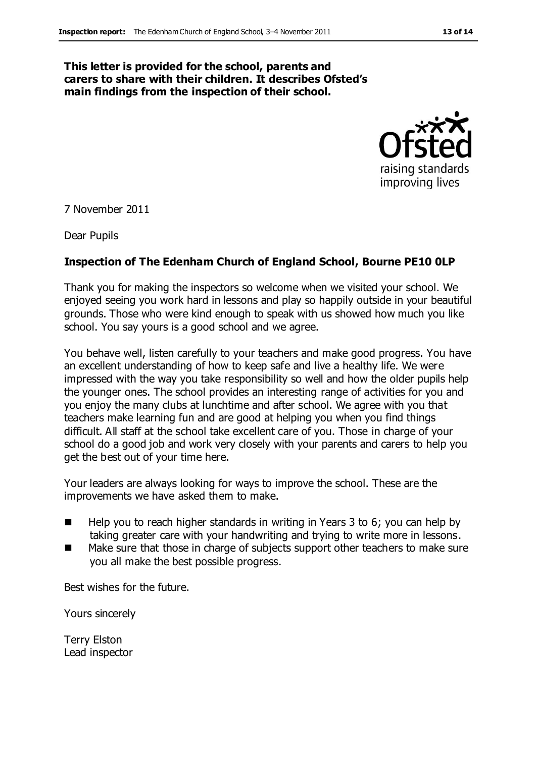#### **This letter is provided for the school, parents and carers to share with their children. It describes Ofsted's main findings from the inspection of their school.**



7 November 2011

Dear Pupils

#### **Inspection of The Edenham Church of England School, Bourne PE10 0LP**

Thank you for making the inspectors so welcome when we visited your school. We enjoyed seeing you work hard in lessons and play so happily outside in your beautiful grounds. Those who were kind enough to speak with us showed how much you like school. You say yours is a good school and we agree.

You behave well, listen carefully to your teachers and make good progress. You have an excellent understanding of how to keep safe and live a healthy life. We were impressed with the way you take responsibility so well and how the older pupils help the younger ones. The school provides an interesting range of activities for you and you enjoy the many clubs at lunchtime and after school. We agree with you that teachers make learning fun and are good at helping you when you find things difficult. All staff at the school take excellent care of you. Those in charge of your school do a good job and work very closely with your parents and carers to help you get the best out of your time here.

Your leaders are always looking for ways to improve the school. These are the improvements we have asked them to make.

- Help you to reach higher standards in writing in Years 3 to 6; you can help by taking greater care with your handwriting and trying to write more in lessons.
- Make sure that those in charge of subjects support other teachers to make sure you all make the best possible progress.

Best wishes for the future.

Yours sincerely

Terry Elston Lead inspector